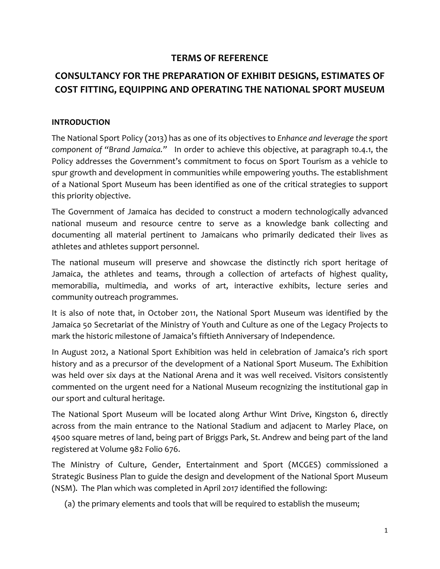# **TERMS OF REFERENCE**

# **CONSULTANCY FOR THE PREPARATION OF EXHIBIT DESIGNS, ESTIMATES OF COST FITTING, EQUIPPING AND OPERATING THE NATIONAL SPORT MUSEUM**

#### **INTRODUCTION**

The National Sport Policy (2013) has as one of its objectives to *Enhance and leverage the sport component of "Brand Jamaica."* In order to achieve this objective, at paragraph 10.4.1, the Policy addresses the Government's commitment to focus on Sport Tourism as a vehicle to spur growth and development in communities while empowering youths. The establishment of a National Sport Museum has been identified as one of the critical strategies to support this priority objective.

The Government of Jamaica has decided to construct a modern technologically advanced national museum and resource centre to serve as a knowledge bank collecting and documenting all material pertinent to Jamaicans who primarily dedicated their lives as athletes and athletes support personnel.

The national museum will preserve and showcase the distinctly rich sport heritage of Jamaica, the athletes and teams, through a collection of artefacts of highest quality, memorabilia, multimedia, and works of art, interactive exhibits, lecture series and community outreach programmes.

It is also of note that, in October 2011, the National Sport Museum was identified by the Jamaica 50 Secretariat of the Ministry of Youth and Culture as one of the Legacy Projects to mark the historic milestone of Jamaica's fiftieth Anniversary of Independence.

In August 2012, a National Sport Exhibition was held in celebration of Jamaica's rich sport history and as a precursor of the development of a National Sport Museum. The Exhibition was held over six days at the National Arena and it was well received. Visitors consistently commented on the urgent need for a National Museum recognizing the institutional gap in our sport and cultural heritage.

The National Sport Museum will be located along Arthur Wint Drive, Kingston 6, directly across from the main entrance to the National Stadium and adjacent to Marley Place, on 4500 square metres of land, being part of Briggs Park, St. Andrew and being part of the land registered at Volume 982 Folio 676.

The Ministry of Culture, Gender, Entertainment and Sport (MCGES) commissioned a Strategic Business Plan to guide the design and development of the National Sport Museum (NSM). The Plan which was completed in April 2017 identified the following:

(a) the primary elements and tools that will be required to establish the museum;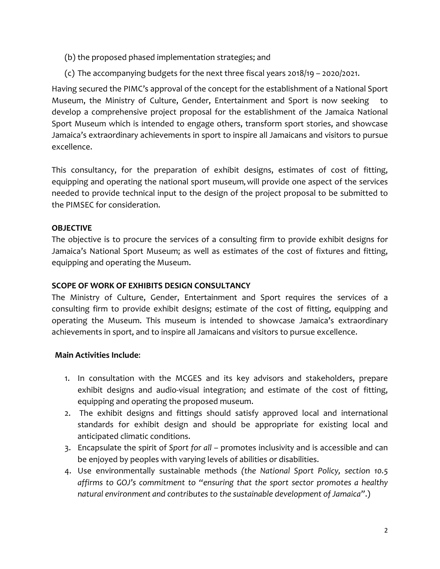- (b) the proposed phased implementation strategies; and
- (c) The accompanying budgets for the next three fiscal years 2018/19 2020/2021.

Having secured the PIMC's approval of the concept for the establishment of a National Sport Museum, the Ministry of Culture, Gender, Entertainment and Sport is now seeking develop a comprehensive project proposal for the establishment of the Jamaica National Sport Museum which is intended to engage others, transform sport stories, and showcase Jamaica's extraordinary achievements in sport to inspire all Jamaicans and visitors to pursue excellence.

This consultancy, for the preparation of exhibit designs, estimates of cost of fitting, equipping and operating the national sport museum**,** will provide one aspect of the services needed to provide technical input to the design of the project proposal to be submitted to the PIMSEC for consideration.

## **OBJECTIVE**

The objective is to procure the services of a consulting firm to provide exhibit designs for Jamaica's National Sport Museum; as well as estimates of the cost of fixtures and fitting, equipping and operating the Museum.

#### **SCOPE OF WORK OF EXHIBITS DESIGN CONSULTANCY**

The Ministry of Culture, Gender, Entertainment and Sport requires the services of a consulting firm to provide exhibit designs; estimate of the cost of fitting, equipping and operating the Museum. This museum is intended to showcase Jamaica's extraordinary achievements in sport, and to inspire all Jamaicans and visitors to pursue excellence.

#### **Main Activities Include**:

- 1. In consultation with the MCGES and its key advisors and stakeholders, prepare exhibit designs and audio-visual integration; and estimate of the cost of fitting, equipping and operating the proposed museum.
- 2. The exhibit designs and fittings should satisfy approved local and international standards for exhibit design and should be appropriate for existing local and anticipated climatic conditions.
- 3. Encapsulate the spirit of *Sport for all* promotes inclusivity and is accessible and can be enjoyed by peoples with varying levels of abilities or disabilities.
- 4. Use environmentally sustainable methods *(the National Sport Policy, section 10.5 affirms to GOJ's commitment to "ensuring that the sport sector promotes a healthy natural environment and contributes to the sustainable development of Jamaica"*.)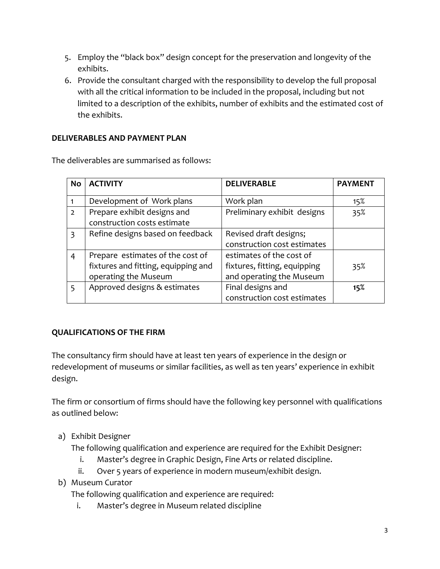- 5. Employ the "black box" design concept for the preservation and longevity of the exhibits.
- 6. Provide the consultant charged with the responsibility to develop the full proposal with all the critical information to be included in the proposal, including but not limited to a description of the exhibits, number of exhibits and the estimated cost of the exhibits.

## **DELIVERABLES AND PAYMENT PLAN**

The deliverables are summarised as follows:

| <b>No</b>     | <b>ACTIVITY</b>                     | <b>DELIVERABLE</b>           | <b>PAYMENT</b> |
|---------------|-------------------------------------|------------------------------|----------------|
|               |                                     |                              |                |
|               | Development of Work plans           | Work plan                    | 15%            |
| $\mathcal{L}$ | Prepare exhibit designs and         | Preliminary exhibit designs  | 35%            |
|               | construction costs estimate         |                              |                |
| $\mathbf{3}$  | Refine designs based on feedback    | Revised draft designs;       |                |
|               |                                     | construction cost estimates  |                |
| 4             | Prepare estimates of the cost of    | estimates of the cost of     |                |
|               | fixtures and fitting, equipping and | fixtures, fitting, equipping | 35%            |
|               | operating the Museum                | and operating the Museum     |                |
| 5             | Approved designs & estimates        | Final designs and            | 15%            |
|               |                                     | construction cost estimates  |                |

#### **QUALIFICATIONS OF THE FIRM**

The consultancy firm should have at least ten years of experience in the design or redevelopment of museums or similar facilities, as well as ten years' experience in exhibit design.

The firm or consortium of firms should have the following key personnel with qualifications as outlined below:

a) Exhibit Designer

The following qualification and experience are required for the Exhibit Designer:

- i. Master's degree in Graphic Design, Fine Arts or related discipline.
- ii. Over 5 years of experience in modern museum/exhibit design.
- b) Museum Curator

The following qualification and experience are required:

i. Master's degree in Museum related discipline